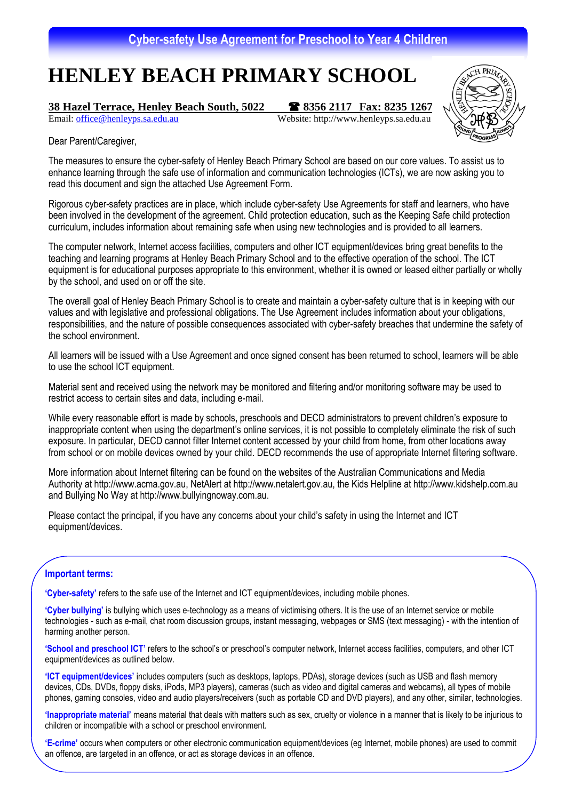# **HENLEY BEACH PRIMARY SCHOOL**

## **<u>38 Hazel Terrace, Henley Beach South, 5022 <br>
Email: office@henleyps.sa.edu.au</u> Website: http://www.henleyps.sa.edu.au**

Website: http://www.henleyps.sa.edu.au



Dear Parent/Caregiver,

The measures to ensure the cyber-safety of Henley Beach Primary School are based on our core values. To assist us to enhance learning through the safe use of information and communication technologies (ICTs), we are now asking you to read this document and sign the attached Use Agreement Form.

Rigorous cyber-safety practices are in place, which include cyber-safety Use Agreements for staff and learners, who have been involved in the development of the agreement. Child protection education, such as the Keeping Safe child protection curriculum, includes information about remaining safe when using new technologies and is provided to all learners.

The computer network, Internet access facilities, computers and other ICT equipment/devices bring great benefits to the teaching and learning programs at Henley Beach Primary School and to the effective operation of the school. The ICT equipment is for educational purposes appropriate to this environment, whether it is owned or leased either partially or wholly by the school, and used on or off the site.

The overall goal of Henley Beach Primary School is to create and maintain a cyber-safety culture that is in keeping with our values and with legislative and professional obligations. The Use Agreement includes information about your obligations, responsibilities, and the nature of possible consequences associated with cyber-safety breaches that undermine the safety of the school environment.

All learners will be issued with a Use Agreement and once signed consent has been returned to school, learners will be able to use the school ICT equipment.

Material sent and received using the network may be monitored and filtering and/or monitoring software may be used to restrict access to certain sites and data, including e-mail.

While every reasonable effort is made by schools, preschools and DECD administrators to prevent children's exposure to inappropriate content when using the department's online services, it is not possible to completely eliminate the risk of such exposure. In particular, DECD cannot filter Internet content accessed by your child from home, from other locations away from school or on mobile devices owned by your child. DECD recommends the use of appropriate Internet filtering software.

More information about Internet filtering can be found on the websites of the Australian Communications and Media Authority at http://www.acma.gov.au, NetAlert at http://www.netalert.gov.au, the Kids Helpline at http://www.kidshelp.com.au and Bullying No Way at http://www.bullyingnoway.com.au.

Please contact the principal, if you have any concerns about your child's safety in using the Internet and ICT equipment/devices.

### **Important terms:**

**'Cyber-safety'** refers to the safe use of the Internet and ICT equipment/devices, including mobile phones.

**'Cyber bullying'** is bullying which uses e-technology as a means of victimising others. It is the use of an Internet service or mobile technologies - such as e-mail, chat room discussion groups, instant messaging, webpages or SMS (text messaging) - with the intention of harming another person.

**'School and preschool ICT'** refers to the school's or preschool's computer network, Internet access facilities, computers, and other ICT equipment/devices as outlined below.

**'ICT equipment/devices'** includes computers (such as desktops, laptops, PDAs), storage devices (such as USB and flash memory devices, CDs, DVDs, floppy disks, iPods, MP3 players), cameras (such as video and digital cameras and webcams), all types of mobile phones, gaming consoles, video and audio players/receivers (such as portable CD and DVD players), and any other, similar, technologies.

**'Inappropriate material'** means material that deals with matters such as sex, cruelty or violence in a manner that is likely to be injurious to children or incompatible with a school or preschool environment.

**'E-crime'** occurs when computers or other electronic communication equipment/devices (eg Internet, mobile phones) are used to commit an offence, are targeted in an offence, or act as storage devices in an offence.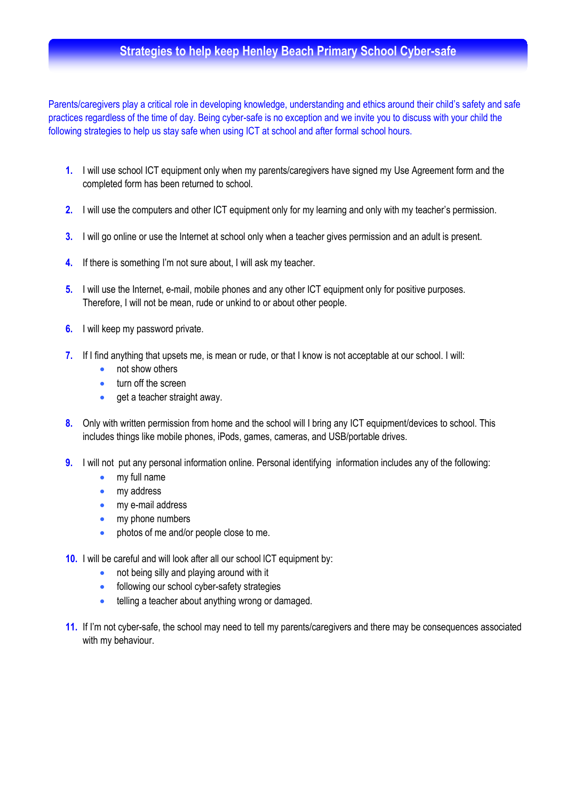## **Strategies to help keep Henley Beach Primary School Cyber-safe**

Parents/caregivers play a critical role in developing knowledge, understanding and ethics around their child's safety and safe practices regardless of the time of day. Being cyber-safe is no exception and we invite you to discuss with your child the following strategies to help us stay safe when using ICT at school and after formal school hours.

- **1.** I will use school ICT equipment only when my parents/caregivers have signed my Use Agreement form and the completed form has been returned to school.
- **2.** I will use the computers and other ICT equipment only for my learning and only with my teacher's permission.
- **3.** I will go online or use the Internet at school only when a teacher gives permission and an adult is present.
- **4.** If there is something I'm not sure about, I will ask my teacher.
- **5.** I will use the Internet, e-mail, mobile phones and any other ICT equipment only for positive purposes. Therefore, I will not be mean, rude or unkind to or about other people.
- **6.** I will keep my password private.
- **7.** If I find anything that upsets me, is mean or rude, or that I know is not acceptable at our school. I will:
	- not show others
	- turn off the screen
	- $\bullet$  aet a teacher straight away.
- **8.** Only with written permission from home and the school will I bring any ICT equipment/devices to school. This includes things like mobile phones, iPods, games, cameras, and USB/portable drives.
- **9.** I will not put any personal information online. Personal identifying information includes any of the following:
	- my full name
	- my address
	- my e-mail address
	- my phone numbers
	- photos of me and/or people close to me.
- **10.** I will be careful and will look after all our school lCT equipment by:
	- not being silly and playing around with it
	- following our school cyber-safety strategies
	- telling a teacher about anything wrong or damaged.
- **11.** If I'm not cyber-safe, the school may need to tell my parents/caregivers and there may be consequences associated with my behaviour.